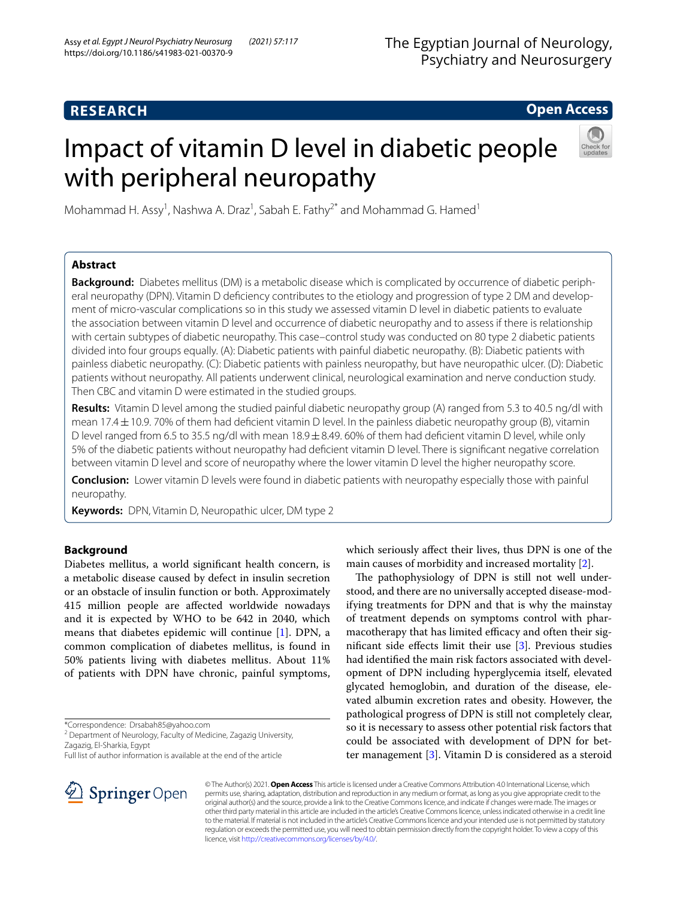# **RESEARCH**

# **Open Access**

# Impact of vitamin D level in diabetic people with peripheral neuropathy



Mohammad H. Assy<sup>1</sup>, Nashwa A. Draz<sup>1</sup>, Sabah E. Fathy<sup>2\*</sup> and Mohammad G. Hamed<sup>1</sup>

# **Abstract**

**Background:** Diabetes mellitus (DM) is a metabolic disease which is complicated by occurrence of diabetic peripheral neuropathy (DPN). Vitamin D defciency contributes to the etiology and progression of type 2 DM and development of micro-vascular complications so in this study we assessed vitamin D level in diabetic patients to evaluate the association between vitamin D level and occurrence of diabetic neuropathy and to assess if there is relationship with certain subtypes of diabetic neuropathy. This case–control study was conducted on 80 type 2 diabetic patients divided into four groups equally. (A): Diabetic patients with painful diabetic neuropathy. (B): Diabetic patients with painless diabetic neuropathy. (C): Diabetic patients with painless neuropathy, but have neuropathic ulcer. (D): Diabetic patients without neuropathy. All patients underwent clinical, neurological examination and nerve conduction study. Then CBC and vitamin D were estimated in the studied groups.

**Results:** Vitamin D level among the studied painful diabetic neuropathy group (A) ranged from 5.3 to 40.5 ng/dl with mean 17.4 $\pm$ 10.9. 70% of them had deficient vitamin D level. In the painless diabetic neuropathy group (B), vitamin D level ranged from 6.5 to 35.5 ng/dl with mean 18.9±8.49. 60% of them had defcient vitamin D level, while only 5% of the diabetic patients without neuropathy had defcient vitamin D level. There is signifcant negative correlation between vitamin D level and score of neuropathy where the lower vitamin D level the higher neuropathy score.

**Conclusion:** Lower vitamin D levels were found in diabetic patients with neuropathy especially those with painful neuropathy.

**Keywords:** DPN, Vitamin D, Neuropathic ulcer, DM type 2

# **Background**

Diabetes mellitus, a world signifcant health concern, is a metabolic disease caused by defect in insulin secretion or an obstacle of insulin function or both. Approximately 415 million people are afected worldwide nowadays and it is expected by WHO to be 642 in 2040, which means that diabetes epidemic will continue [\[1\]](#page-6-0). DPN, a common complication of diabetes mellitus, is found in 50% patients living with diabetes mellitus. About 11% of patients with DPN have chronic, painful symptoms,

\*Correspondence: Drsabah85@yahoo.com

<sup>2</sup> Department of Neurology, Faculty of Medicine, Zagazig University, Zagazig, El-Sharkia, Egypt

Full list of author information is available at the end of the article

which seriously afect their lives, thus DPN is one of the main causes of morbidity and increased mortality [\[2](#page-6-1)].

The pathophysiology of DPN is still not well understood, and there are no universally accepted disease-modifying treatments for DPN and that is why the mainstay of treatment depends on symptoms control with pharmacotherapy that has limited efficacy and often their signifcant side efects limit their use [[3\]](#page-6-2). Previous studies had identifed the main risk factors associated with development of DPN including hyperglycemia itself, elevated glycated hemoglobin, and duration of the disease, elevated albumin excretion rates and obesity. However, the pathological progress of DPN is still not completely clear, so it is necessary to assess other potential risk factors that could be associated with development of DPN for better management [[3\]](#page-6-2). Vitamin D is considered as a steroid



© The Author(s) 2021. **Open Access** This article is licensed under a Creative Commons Attribution 4.0 International License, which permits use, sharing, adaptation, distribution and reproduction in any medium or format, as long as you give appropriate credit to the original author(s) and the source, provide a link to the Creative Commons licence, and indicate if changes were made. The images or other third party material in this article are included in the article's Creative Commons licence, unless indicated otherwise in a credit line to the material. If material is not included in the article's Creative Commons licence and your intended use is not permitted by statutory regulation or exceeds the permitted use, you will need to obtain permission directly from the copyright holder. To view a copy of this licence, visit [http://creativecommons.org/licenses/by/4.0/.](http://creativecommons.org/licenses/by/4.0/)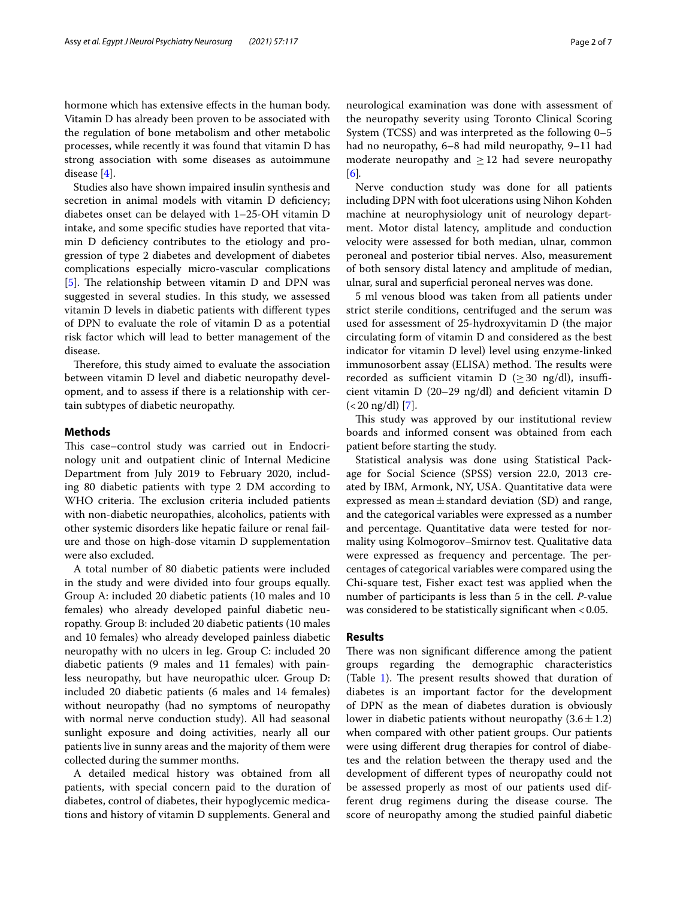hormone which has extensive efects in the human body. Vitamin D has already been proven to be associated with the regulation of bone metabolism and other metabolic processes, while recently it was found that vitamin D has strong association with some diseases as autoimmune disease [\[4](#page-6-3)].

Studies also have shown impaired insulin synthesis and secretion in animal models with vitamin D deficiency; diabetes onset can be delayed with 1–25-OH vitamin D intake, and some specifc studies have reported that vitamin D defciency contributes to the etiology and progression of type 2 diabetes and development of diabetes complications especially micro-vascular complications [[5\]](#page-6-4). The relationship between vitamin  $D$  and  $DPN$  was suggested in several studies. In this study, we assessed vitamin D levels in diabetic patients with diferent types of DPN to evaluate the role of vitamin D as a potential risk factor which will lead to better management of the disease.

Therefore, this study aimed to evaluate the association between vitamin D level and diabetic neuropathy development, and to assess if there is a relationship with certain subtypes of diabetic neuropathy.

# **Methods**

This case–control study was carried out in Endocrinology unit and outpatient clinic of Internal Medicine Department from July 2019 to February 2020, including 80 diabetic patients with type 2 DM according to WHO criteria. The exclusion criteria included patients with non-diabetic neuropathies, alcoholics, patients with other systemic disorders like hepatic failure or renal failure and those on high-dose vitamin D supplementation were also excluded.

A total number of 80 diabetic patients were included in the study and were divided into four groups equally. Group A: included 20 diabetic patients (10 males and 10 females) who already developed painful diabetic neuropathy. Group B: included 20 diabetic patients (10 males and 10 females) who already developed painless diabetic neuropathy with no ulcers in leg. Group C: included 20 diabetic patients (9 males and 11 females) with painless neuropathy, but have neuropathic ulcer. Group D: included 20 diabetic patients (6 males and 14 females) without neuropathy (had no symptoms of neuropathy with normal nerve conduction study). All had seasonal sunlight exposure and doing activities, nearly all our patients live in sunny areas and the majority of them were collected during the summer months.

A detailed medical history was obtained from all patients, with special concern paid to the duration of diabetes, control of diabetes, their hypoglycemic medications and history of vitamin D supplements. General and neurological examination was done with assessment of the neuropathy severity using Toronto Clinical Scoring System (TCSS) and was interpreted as the following 0–5 had no neuropathy, 6–8 had mild neuropathy, 9–11 had moderate neuropathy and  $\geq$  12 had severe neuropathy [[6\]](#page-6-5)*.*

Nerve conduction study was done for all patients including DPN with foot ulcerations using Nihon Kohden machine at neurophysiology unit of neurology department. Motor distal latency, amplitude and conduction velocity were assessed for both median, ulnar, common peroneal and posterior tibial nerves. Also, measurement of both sensory distal latency and amplitude of median, ulnar, sural and superfcial peroneal nerves was done.

5 ml venous blood was taken from all patients under strict sterile conditions, centrifuged and the serum was used for assessment of 25-hydroxyvitamin D (the major circulating form of vitamin D and considered as the best indicator for vitamin D level) level using enzyme-linked immunosorbent assay (ELISA) method. The results were recorded as sufficient vitamin D ( $\geq$  30 ng/dl), insufficient vitamin D (20–29 ng/dl) and defcient vitamin D  $(<$  20 ng/dl) [[7\]](#page-6-6).

This study was approved by our institutional review boards and informed consent was obtained from each patient before starting the study.

Statistical analysis was done using Statistical Package for Social Science (SPSS) version 22.0, 2013 created by IBM, Armonk, NY, USA. Quantitative data were expressed as mean $\pm$ standard deviation (SD) and range, and the categorical variables were expressed as a number and percentage. Quantitative data were tested for normality using Kolmogorov–Smirnov test. Qualitative data were expressed as frequency and percentage. The percentages of categorical variables were compared using the Chi-square test, Fisher exact test was applied when the number of participants is less than 5 in the cell. *P*-value was considered to be statistically significant when <0.05.

# **Results**

There was non significant difference among the patient groups regarding the demographic characteristics (Table  $1$ ). The present results showed that duration of diabetes is an important factor for the development of DPN as the mean of diabetes duration is obviously lower in diabetic patients without neuropathy  $(3.6 \pm 1.2)$ when compared with other patient groups. Our patients were using diferent drug therapies for control of diabetes and the relation between the therapy used and the development of diferent types of neuropathy could not be assessed properly as most of our patients used different drug regimens during the disease course. The score of neuropathy among the studied painful diabetic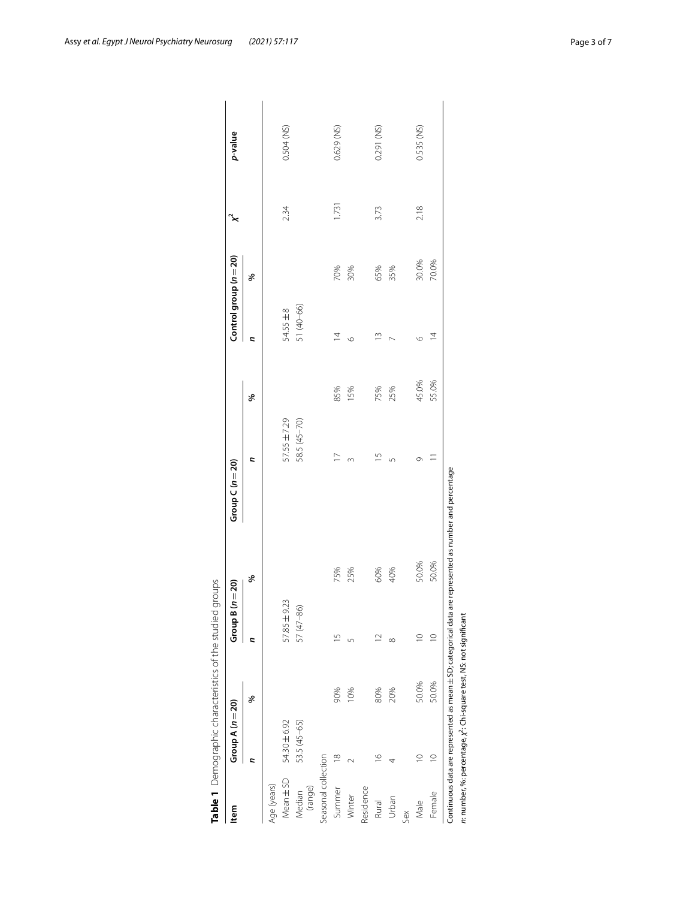<span id="page-2-0"></span>

| ltem                | Group A $(n=20)$ |       | Group B $(n=20)$ |       | Group $C(n=20)$          |       |                | Control group (n = 20) |       | p-value    |
|---------------------|------------------|-------|------------------|-------|--------------------------|-------|----------------|------------------------|-------|------------|
|                     | c                | ৡ     | c                | ৡ     | c                        | శ     | c              | శ                      |       |            |
| Age (years)         |                  |       |                  |       |                          |       |                |                        |       |            |
| Mean ± SD           | 54.30 ± 6.92     |       | 57.85 ± 9.23     |       | 57.55 ± 7.29             |       | $54.55 \pm 8$  |                        | 234   | 0.504 (NS) |
| (range)<br>Median   | 53.5 (45-65)     |       | 57 (47 - 86)     |       | 58.5 (45-70)             |       | 51 (40-66)     |                        |       |            |
| Seasonal collection |                  |       |                  |       |                          |       |                |                        |       |            |
| Summer              | $\frac{8}{1}$    | 90%   | $\frac{5}{1}$    | 75%   | $\overline{\phantom{0}}$ | 85%   | $\overline{4}$ | 70%                    | 1.731 | 0.629 (NS) |
| Winter              |                  | 10%   | 5                | 25%   | $\infty$                 | 15%   | $\circ$        | 30%                    |       |            |
| Residence           |                  |       |                  |       |                          |       |                |                        |       |            |
| Rural               | $\frac{1}{2}$    | 80%   | $\supseteq$      | 60%   | $\overline{1}$           | 75%   | $\tilde{=}$    | 65%                    | 3.73  | 0.291 (NS) |
| Urban               |                  | 20%   | $\infty$         | 40%   | 5                        | 25%   |                | 35%                    |       |            |
| Sex                 |                  |       |                  |       |                          |       |                |                        |       |            |
| Male                | $\supseteq$      | 50.0% | $\supseteq$      | 50.0% | Ō                        | 45.0% | $\circ$        | 30.0%                  | 2.18  | 0.535 (NS) |
| Female              | $\supseteq$      | 50.0% | $\supseteq$      | 50.0% |                          | 55.0% | $\bar{4}$      | 70.0%                  |       |            |

Assy et al. Egypt J Neurol Psychiatry Neurosurg (2021) 57:117 **Page 3 of 7** and 2021 **Page 3 of 7 Page 3 of 7**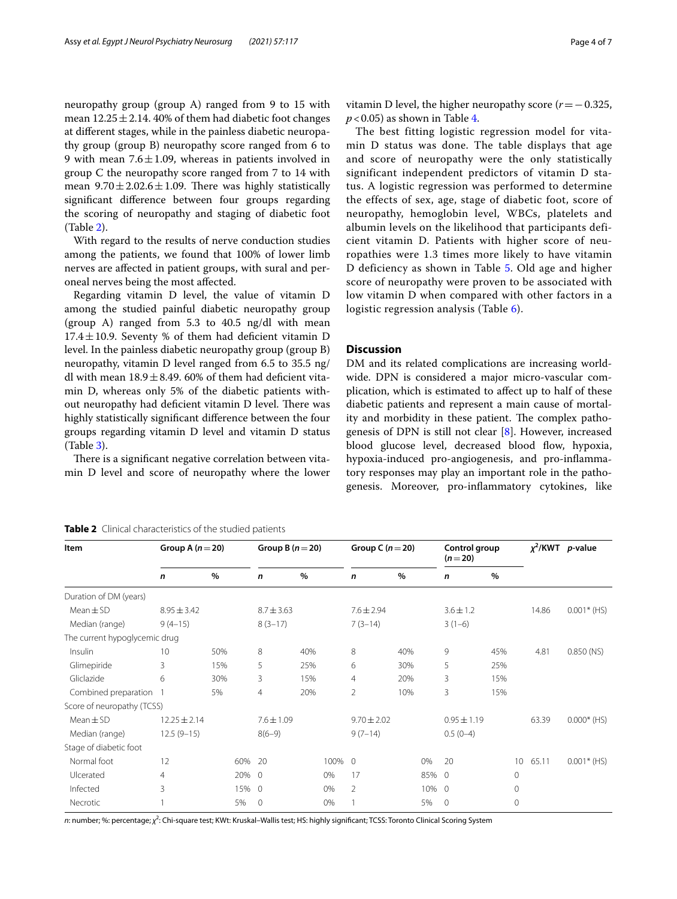neuropathy group (group A) ranged from 9 to 15 with mean  $12.25 \pm 2.14$ . 40% of them had diabetic foot changes at diferent stages, while in the painless diabetic neuropathy group (group B) neuropathy score ranged from 6 to 9 with mean  $7.6 \pm 1.09$ , whereas in patients involved in group C the neuropathy score ranged from 7 to 14 with mean  $9.70 \pm 2.02.6 \pm 1.09$ . There was highly statistically signifcant diference between four groups regarding the scoring of neuropathy and staging of diabetic foot (Table [2](#page-3-0)).

With regard to the results of nerve conduction studies among the patients, we found that 100% of lower limb nerves are afected in patient groups, with sural and peroneal nerves being the most afected.

Regarding vitamin D level, the value of vitamin D among the studied painful diabetic neuropathy group (group A) ranged from 5.3 to 40.5 ng/dl with mean  $17.4 \pm 10.9$ . Seventy % of them had deficient vitamin D level. In the painless diabetic neuropathy group (group B) neuropathy, vitamin D level ranged from 6.5 to 35.5 ng/ dl with mean  $18.9 \pm 8.49$ . 60% of them had deficient vitamin D, whereas only 5% of the diabetic patients without neuropathy had deficient vitamin D level. There was highly statistically signifcant diference between the four groups regarding vitamin D level and vitamin D status (Table [3](#page-4-0)).

There is a significant negative correlation between vitamin D level and score of neuropathy where the lower vitamin D level, the higher neuropathy score (*r*=−0.325,  $p$  < 0.05) as shown in Table [4.](#page-4-1)

The best fitting logistic regression model for vitamin D status was done. The table displays that age and score of neuropathy were the only statistically significant independent predictors of vitamin D status. A logistic regression was performed to determine the effects of sex, age, stage of diabetic foot, score of neuropathy, hemoglobin level, WBCs, platelets and albumin levels on the likelihood that participants deficient vitamin D. Patients with higher score of neuropathies were 1.3 times more likely to have vitamin D deficiency as shown in Table [5](#page-4-2). Old age and higher score of neuropathy were proven to be associated with low vitamin D when compared with other factors in a logistic regression analysis (Table [6\)](#page-5-0).

## **Discussion**

DM and its related complications are increasing worldwide. DPN is considered a major micro-vascular complication, which is estimated to afect up to half of these diabetic patients and represent a main cause of mortality and morbidity in these patient. The complex pathogenesis of DPN is still not clear [[8\]](#page-6-7). However, increased blood glucose level, decreased blood flow, hypoxia, hypoxia-induced pro-angiogenesis, and pro-infammatory responses may play an important role in the pathogenesis. Moreover, pro-infammatory cytokines, like

<span id="page-3-0"></span>

| Table 2 Clinical characteristics of the studied patients |  |  |  |
|----------------------------------------------------------|--|--|--|
|----------------------------------------------------------|--|--|--|

| Item                          | Group A $(n=20)$ |      | Group B $(n=20)$ |      |      | Group C $(n=20)$ |      | Control group<br>$(n=20)$ |                 |      |                 | $\chi^2$ /KWT <i>p</i> -value |               |
|-------------------------------|------------------|------|------------------|------|------|------------------|------|---------------------------|-----------------|------|-----------------|-------------------------------|---------------|
|                               | $\mathsf{n}$     | $\%$ | n                | $\%$ |      | n                | $\%$ |                           | $\mathbf n$     | $\%$ |                 |                               |               |
| Duration of DM (years)        |                  |      |                  |      |      |                  |      |                           |                 |      |                 |                               |               |
| $Mean \pm SD$                 | $8.95 \pm 3.42$  |      | $8.7 \pm 3.63$   |      |      | $7.6 \pm 2.94$   |      |                           | $3.6 \pm 1.2$   |      |                 | 14.86                         | $0.001*$ (HS) |
| Median (range)                | $9(4-15)$        |      | $8(3-17)$        |      |      | $7(3-14)$        |      |                           | $3(1-6)$        |      |                 |                               |               |
| The current hypoglycemic drug |                  |      |                  |      |      |                  |      |                           |                 |      |                 |                               |               |
| Insulin                       | 10               | 50%  | 8                | 40%  |      | 8                | 40%  |                           | 9               | 45%  |                 | 4.81                          | $0.850$ (NS)  |
| Glimepiride                   | 3                | 15%  | 5                | 25%  |      | 6                | 30%  |                           | 5               | 25%  |                 |                               |               |
| Gliclazide                    | 6                | 30%  | 3                | 15%  |      | $\overline{4}$   | 20%  |                           | 3               | 15%  |                 |                               |               |
| Combined preparation          |                  | 5%   | $\overline{4}$   | 20%  |      | $\overline{2}$   | 10%  |                           | 3               | 15%  |                 |                               |               |
| Score of neuropathy (TCSS)    |                  |      |                  |      |      |                  |      |                           |                 |      |                 |                               |               |
| $Mean \pm SD$                 | $12.25 \pm 2.14$ |      | $7.6 \pm 1.09$   |      |      | $9.70 \pm 2.02$  |      |                           | $0.95 \pm 1.19$ |      |                 | 63.39                         | $0.000*$ (HS) |
| Median (range)                | $12.5(9-15)$     |      | $8(6-9)$         |      |      | $9(7-14)$        |      |                           | $0.5(0-4)$      |      |                 |                               |               |
| Stage of diabetic foot        |                  |      |                  |      |      |                  |      |                           |                 |      |                 |                               |               |
| Normal foot                   | 12               | 60%  | 20               |      | 100% | $\Omega$         |      | 0%                        | 20              |      | 10 <sup>°</sup> | 65.11                         | $0.001*$ (HS) |
| Ulcerated                     | $\overline{4}$   |      | 20% 0            |      | 0%   | 17               |      | 85%                       | $\Omega$        |      | $\mathbf{0}$    |                               |               |
| Infected                      | 3                |      | 15% 0            |      | 0%   | $\overline{2}$   |      | 10%                       | $\Omega$        |      | $\circ$         |                               |               |
| Necrotic                      |                  | 5%   | $\Omega$         |      | 0%   |                  |      | 5%                        | $\circ$         |      | $\Omega$        |                               |               |

*n*: number; %: percentage; *χ<sup>2</sup>*: Chi-square test; KWt: Kruskal–Wallis test; HS: highly significant; TCSS: Toronto Clinical Scoring System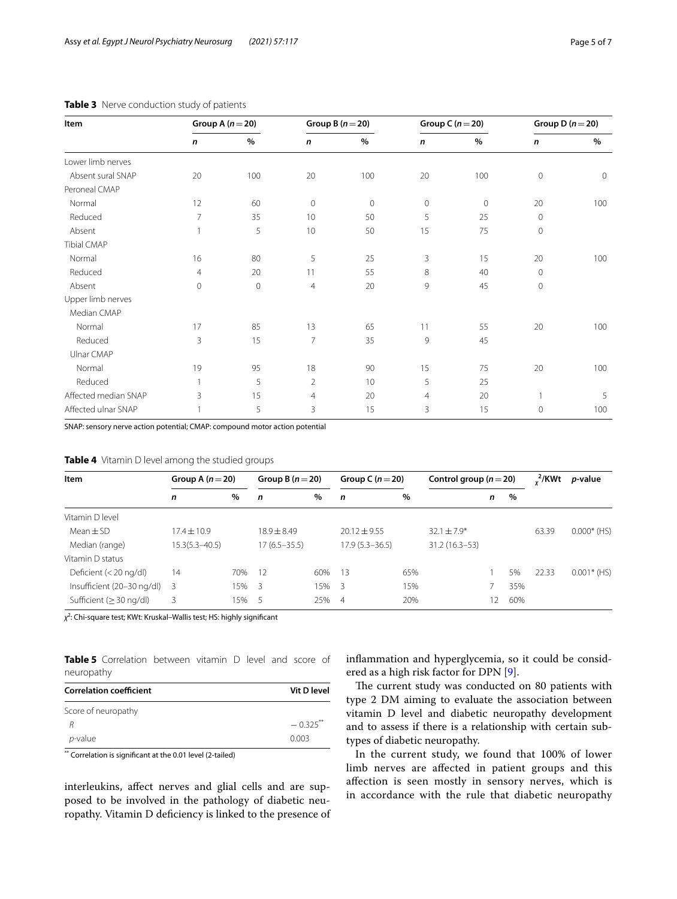| Item                 |                | Group A $(n=20)$ |                | Group B $(n=20)$ |                | Group C $(n=20)$ | Group D $(n=20)$ |             |
|----------------------|----------------|------------------|----------------|------------------|----------------|------------------|------------------|-------------|
|                      | $\mathbf n$    | $\%$             | $\mathsf{n}$   | $\%$             | $\mathbf n$    | $\%$             | $\mathbf n$      | $\%$        |
| Lower limb nerves    |                |                  |                |                  |                |                  |                  |             |
| Absent sural SNAP    | 20             | 100              | 20             | 100              | 20             | 100              | $\mathbf{0}$     | $\mathbf 0$ |
| Peroneal CMAP        |                |                  |                |                  |                |                  |                  |             |
| Normal               | 12             | 60               | $\mathbf 0$    | $\mathbf 0$      | $\mathbf{0}$   | $\mathbf{0}$     | 20               | 100         |
| Reduced              | 7              | 35               | 10             | 50               | 5              | 25               | $\mathbf{0}$     |             |
| Absent               | 1              | 5                | 10             | 50               | 15             | 75               | $\mathbf{0}$     |             |
| <b>Tibial CMAP</b>   |                |                  |                |                  |                |                  |                  |             |
| Normal               | 16             | 80               | 5              | 25               | 3              | 15               | 20               | 100         |
| Reduced              | $\overline{4}$ | 20               | 11             | 55               | 8              | 40               | $\mathbf 0$      |             |
| Absent               | $\mathbf 0$    | $\mathbf 0$      | $\overline{4}$ | 20               | 9              | 45               | $\mathbf 0$      |             |
| Upper limb nerves    |                |                  |                |                  |                |                  |                  |             |
| Median CMAP          |                |                  |                |                  |                |                  |                  |             |
| Normal               | 17             | 85               | 13             | 65               | 11             | 55               | 20               | 100         |
| Reduced              | 3              | 15               | $\overline{7}$ | 35               | 9              | 45               |                  |             |
| Ulnar CMAP           |                |                  |                |                  |                |                  |                  |             |
| Normal               | 19             | 95               | 18             | 90               | 15             | 75               | 20               | 100         |
| Reduced              | $\mathbf{1}$   | 5                | $\overline{2}$ | 10               | 5              | 25               |                  |             |
| Affected median SNAP | 3              | 15               | $\overline{4}$ | 20               | $\overline{4}$ | 20               |                  | 5           |
| Affected ulnar SNAP  | $\mathbf{1}$   | 5                | 3              | 15               | 3              | 15               | $\Omega$         | 100         |

## <span id="page-4-0"></span>**Table 3** Nerve conduction study of patients

SNAP: sensory nerve action potential; CMAP: compound motor action potential

<span id="page-4-1"></span>

| <b>Item</b>                   | Group A $(n=20)$   |     | Group B $(n=20)$ |      | Group C $(n=20)$   |      | Control group ( $n = 20$ ) |    |     | 2/KWt | <i>p</i> -value |
|-------------------------------|--------------------|-----|------------------|------|--------------------|------|----------------------------|----|-----|-------|-----------------|
|                               | n                  | %   | $\mathsf{n}$     | $\%$ | $\mathbf n$        | $\%$ |                            | n  | %   |       |                 |
| Vitamin D level               |                    |     |                  |      |                    |      |                            |    |     |       |                 |
| $Mean \pm SD$                 | $17.4 \pm 10.9$    |     | $18.9 \pm 8.49$  |      | $20.12 + 9.55$     |      | $32.1 + 7.9*$              |    |     | 63.39 | $0.000*$ (HS)   |
| Median (range)                | $15.3(5.3 - 40.5)$ |     | $17(6.5 - 35.5)$ |      | $17.9(5.3 - 36.5)$ |      | $31.2(16.3-53)$            |    |     |       |                 |
| Vitamin D status              |                    |     |                  |      |                    |      |                            |    |     |       |                 |
| Deficient $(<$ 20 ng/dl)      | 14                 | 70% | 12               | 60%  | - 13               | 65%  |                            |    | 5%  | 22.33 | $0.001*$ (HS)   |
| Insufficient (20-30 ng/dl) 3  |                    | 15% | -3               | 15%  | - 3                | 15%  |                            |    | 35% |       |                 |
| Sufficient ( $\geq$ 30 ng/dl) | 3                  | 15% | - 5              | 25%  | $\overline{4}$     | 20%  |                            | 12 | 60% |       |                 |

*χ*2 : Chi-square test; KWt: Kruskal–Wallis test; HS: highly signifcant

<span id="page-4-2"></span>**Table 5** Correlation between vitamin D level and score of neuropathy

| <b>Correlation coefficient</b> | Vit D level |
|--------------------------------|-------------|
| Score of neuropathy            |             |
|                                | $-0.325$ ** |
| $p$ -value                     | 0.003       |

\*\* Correlation is signifcant at the 0.01 level (2-tailed)

interleukins, afect nerves and glial cells and are supposed to be involved in the pathology of diabetic neuropathy. Vitamin D defciency is linked to the presence of infammation and hyperglycemia, so it could be considered as a high risk factor for DPN [[9\]](#page-6-8).

The current study was conducted on 80 patients with type 2 DM aiming to evaluate the association between vitamin D level and diabetic neuropathy development and to assess if there is a relationship with certain subtypes of diabetic neuropathy.

In the current study, we found that 100% of lower limb nerves are afected in patient groups and this afection is seen mostly in sensory nerves, which is in accordance with the rule that diabetic neuropathy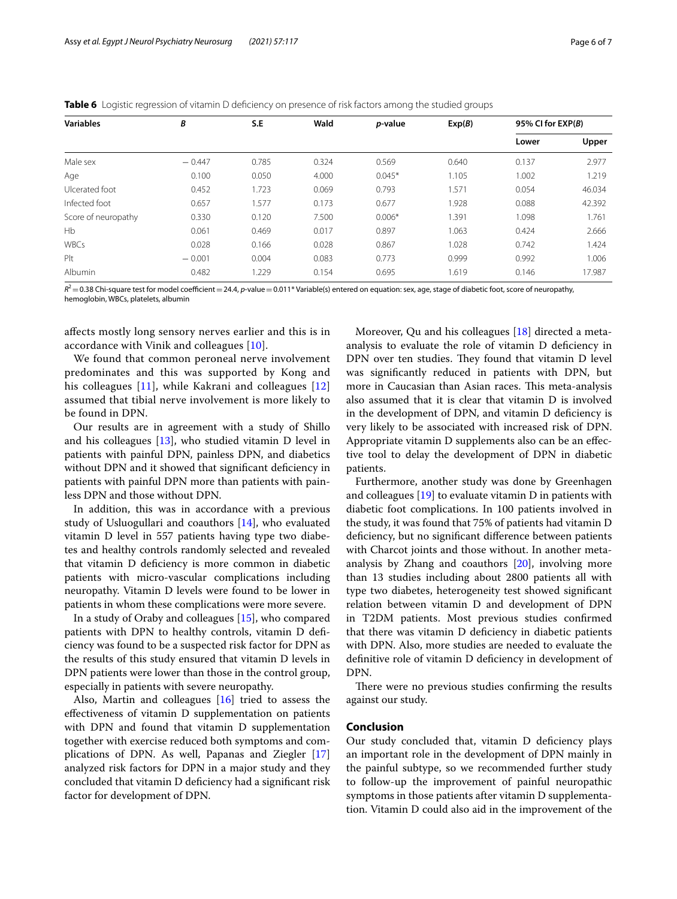<span id="page-5-0"></span>

|  |  | <b>Table 6</b> Logistic regression of vitamin D deficiency on presence of risk factors among the studied groups |
|--|--|-----------------------------------------------------------------------------------------------------------------|
|  |  |                                                                                                                 |

| <b>Variables</b>    | B        | S.E   | Wald  | <i>p</i> -value | Exp(B) | 95% CI for $EXP(B)$ |        |
|---------------------|----------|-------|-------|-----------------|--------|---------------------|--------|
|                     |          |       |       |                 |        | Lower               | Upper  |
| Male sex            | $-0.447$ | 0.785 | 0.324 | 0.569           | 0.640  | 0.137               | 2.977  |
| Age                 | 0.100    | 0.050 | 4.000 | $0.045*$        | 1.105  | 1.002               | 1.219  |
| Ulcerated foot      | 0.452    | 1.723 | 0.069 | 0.793           | 1.571  | 0.054               | 46.034 |
| Infected foot       | 0.657    | 1.577 | 0.173 | 0.677           | 1.928  | 0.088               | 42.392 |
| Score of neuropathy | 0.330    | 0.120 | 7.500 | $0.006*$        | 1.391  | 1.098               | 1.761  |
| <b>Hb</b>           | 0.061    | 0.469 | 0.017 | 0.897           | 1.063  | 0.424               | 2.666  |
| <b>WBCs</b>         | 0.028    | 0.166 | 0.028 | 0.867           | 1.028  | 0.742               | 1.424  |
| Plt                 | $-0.001$ | 0.004 | 0.083 | 0.773           | 0.999  | 0.992               | 1.006  |
| Albumin             | 0.482    | 1.229 | 0.154 | 0.695           | 1.619  | 0.146               | 17.987 |

 $R^2$  = 0.38 Chi-square test for model coefficient = 24.4, *p*-value = 0.011\* Variable(s) entered on equation: sex, age, stage of diabetic foot, score of neuropathy, hemoglobin, WBCs, platelets, albumin

afects mostly long sensory nerves earlier and this is in accordance with Vinik and colleagues [\[10](#page-6-9)].

We found that common peroneal nerve involvement predominates and this was supported by Kong and his colleagues [[11\]](#page-6-10), while Kakrani and colleagues [\[12](#page-6-11)] assumed that tibial nerve involvement is more likely to be found in DPN.

Our results are in agreement with a study of Shillo and his colleagues  $[13]$ , who studied vitamin D level in patients with painful DPN, painless DPN, and diabetics without DPN and it showed that significant deficiency in patients with painful DPN more than patients with painless DPN and those without DPN.

In addition, this was in accordance with a previous study of Usluogullari and coauthors [\[14](#page-6-13)], who evaluated vitamin D level in 557 patients having type two diabetes and healthy controls randomly selected and revealed that vitamin D defciency is more common in diabetic patients with micro-vascular complications including neuropathy. Vitamin D levels were found to be lower in patients in whom these complications were more severe.

In a study of Oraby and colleagues [[15\]](#page-6-14), who compared patients with DPN to healthy controls, vitamin D defciency was found to be a suspected risk factor for DPN as the results of this study ensured that vitamin D levels in DPN patients were lower than those in the control group, especially in patients with severe neuropathy.

Also, Martin and colleagues [\[16](#page-6-15)] tried to assess the efectiveness of vitamin D supplementation on patients with DPN and found that vitamin D supplementation together with exercise reduced both symptoms and complications of DPN. As well, Papanas and Ziegler [[17](#page-6-16)] analyzed risk factors for DPN in a major study and they concluded that vitamin D defciency had a signifcant risk factor for development of DPN.

Moreover, Qu and his colleagues [[18](#page-6-17)] directed a metaanalysis to evaluate the role of vitamin D defciency in DPN over ten studies. They found that vitamin D level was signifcantly reduced in patients with DPN, but more in Caucasian than Asian races. This meta-analysis also assumed that it is clear that vitamin D is involved in the development of DPN, and vitamin D defciency is very likely to be associated with increased risk of DPN. Appropriate vitamin D supplements also can be an efective tool to delay the development of DPN in diabetic patients.

Furthermore, another study was done by Greenhagen and colleagues [[19\]](#page-6-18) to evaluate vitamin D in patients with diabetic foot complications. In 100 patients involved in the study, it was found that 75% of patients had vitamin D defciency, but no signifcant diference between patients with Charcot joints and those without. In another metaanalysis by Zhang and coauthors [[20\]](#page-6-19), involving more than 13 studies including about 2800 patients all with type two diabetes, heterogeneity test showed signifcant relation between vitamin D and development of DPN in T2DM patients. Most previous studies confrmed that there was vitamin D defciency in diabetic patients with DPN. Also, more studies are needed to evaluate the defnitive role of vitamin D defciency in development of DPN.

There were no previous studies confirming the results against our study.

## **Conclusion**

Our study concluded that, vitamin D defciency plays an important role in the development of DPN mainly in the painful subtype, so we recommended further study to follow-up the improvement of painful neuropathic symptoms in those patients after vitamin D supplementation. Vitamin D could also aid in the improvement of the